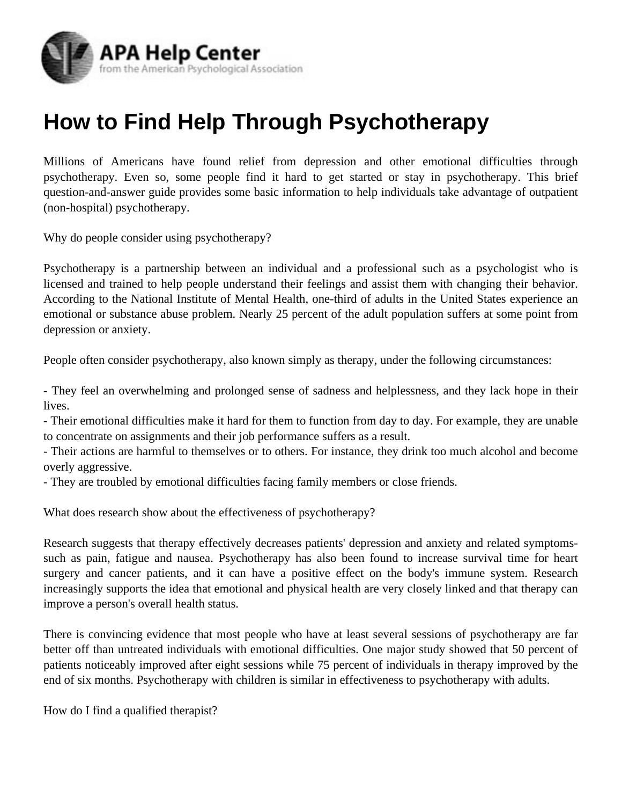

## **How to Find Help Through Psychotherapy**

Millions of Americans have found relief from depression and other emotional difficulties through psychotherapy. Even so, some people find it hard to get started or stay in psychotherapy. This brief question-and-answer guide provides some basic information to help individuals take advantage of outpatient (non-hospital) psychotherapy.

Why do people consider using psychotherapy?

Psychotherapy is a partnership between an individual and a professional such as a psychologist who is licensed and trained to help people understand their feelings and assist them with changing their behavior. According to the National Institute of Mental Health, one-third of adults in the United States experience an emotional or substance abuse problem. Nearly 25 percent of the adult population suffers at some point from depression or anxiety.

People often consider psychotherapy, also known simply as therapy, under the following circumstances:

- They feel an overwhelming and prolonged sense of sadness and helplessness, and they lack hope in their lives.

- Their emotional difficulties make it hard for them to function from day to day. For example, they are unable to concentrate on assignments and their job performance suffers as a result.

- Their actions are harmful to themselves or to others. For instance, they drink too much alcohol and become overly aggressive.

- They are troubled by emotional difficulties facing family members or close friends.

What does research show about the effectiveness of psychotherapy?

Research suggests that therapy effectively decreases patients' depression and anxiety and related symptomssuch as pain, fatigue and nausea. Psychotherapy has also been found to increase survival time for heart surgery and cancer patients, and it can have a positive effect on the body's immune system. Research increasingly supports the idea that emotional and physical health are very closely linked and that therapy can improve a person's overall health status.

There is convincing evidence that most people who have at least several sessions of psychotherapy are far better off than untreated individuals with emotional difficulties. One major study showed that 50 percent of patients noticeably improved after eight sessions while 75 percent of individuals in therapy improved by the end of six months. Psychotherapy with children is similar in effectiveness to psychotherapy with adults.

How do I find a qualified therapist?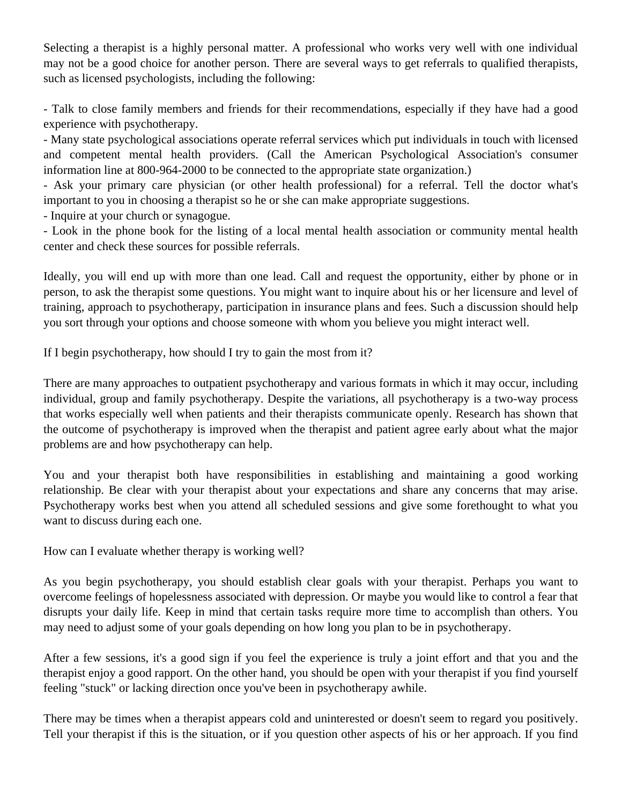Selecting a therapist is a highly personal matter. A professional who works very well with one individual may not be a good choice for another person. There are several ways to get referrals to qualified therapists, such as licensed psychologists, including the following:

- Talk to close family members and friends for their recommendations, especially if they have had a good experience with psychotherapy.

- Many state psychological associations operate referral services which put individuals in touch with licensed and competent mental health providers. (Call the American Psychological Association's consumer information line at 800-964-2000 to be connected to the appropriate state organization.)

- Ask your primary care physician (or other health professional) for a referral. Tell the doctor what's important to you in choosing a therapist so he or she can make appropriate suggestions.

- Inquire at your church or synagogue.

- Look in the phone book for the listing of a local mental health association or community mental health center and check these sources for possible referrals.

Ideally, you will end up with more than one lead. Call and request the opportunity, either by phone or in person, to ask the therapist some questions. You might want to inquire about his or her licensure and level of training, approach to psychotherapy, participation in insurance plans and fees. Such a discussion should help you sort through your options and choose someone with whom you believe you might interact well.

If I begin psychotherapy, how should I try to gain the most from it?

There are many approaches to outpatient psychotherapy and various formats in which it may occur, including individual, group and family psychotherapy. Despite the variations, all psychotherapy is a two-way process that works especially well when patients and their therapists communicate openly. Research has shown that the outcome of psychotherapy is improved when the therapist and patient agree early about what the major problems are and how psychotherapy can help.

You and your therapist both have responsibilities in establishing and maintaining a good working relationship. Be clear with your therapist about your expectations and share any concerns that may arise. Psychotherapy works best when you attend all scheduled sessions and give some forethought to what you want to discuss during each one.

How can I evaluate whether therapy is working well?

As you begin psychotherapy, you should establish clear goals with your therapist. Perhaps you want to overcome feelings of hopelessness associated with depression. Or maybe you would like to control a fear that disrupts your daily life. Keep in mind that certain tasks require more time to accomplish than others. You may need to adjust some of your goals depending on how long you plan to be in psychotherapy.

After a few sessions, it's a good sign if you feel the experience is truly a joint effort and that you and the therapist enjoy a good rapport. On the other hand, you should be open with your therapist if you find yourself feeling "stuck" or lacking direction once you've been in psychotherapy awhile.

There may be times when a therapist appears cold and uninterested or doesn't seem to regard you positively. Tell your therapist if this is the situation, or if you question other aspects of his or her approach. If you find